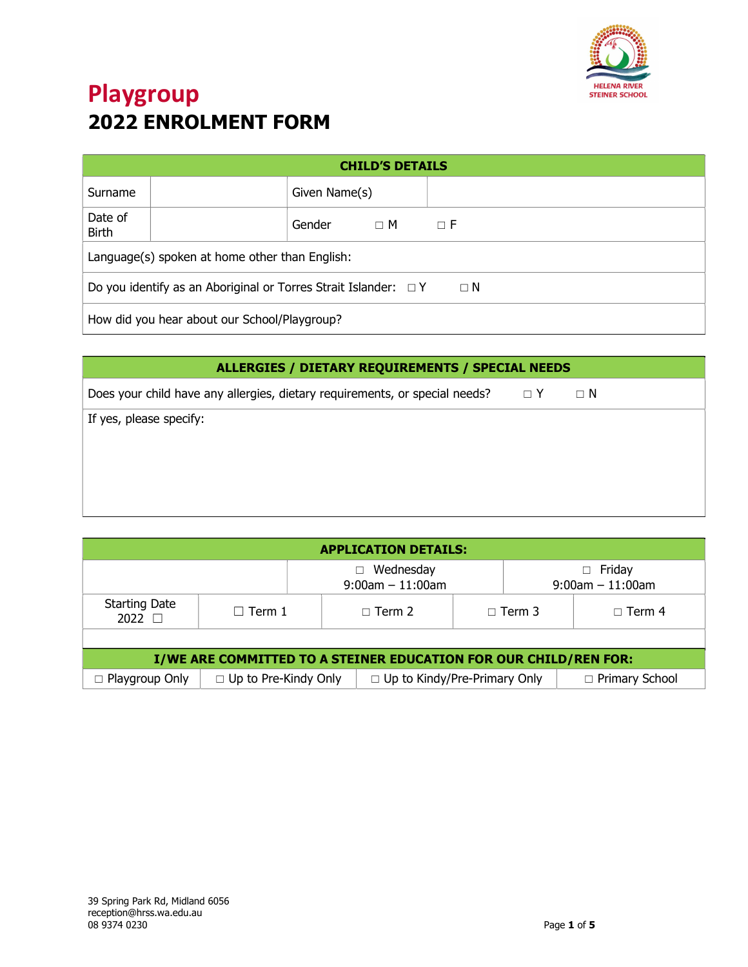

| <b>CHILD'S DETAILS</b>                                                           |                                |               |  |  |  |  |  |  |
|----------------------------------------------------------------------------------|--------------------------------|---------------|--|--|--|--|--|--|
| Surname                                                                          |                                | Given Name(s) |  |  |  |  |  |  |
| Date of<br><b>Birth</b>                                                          | Gender<br>$\Box$ F<br>$\Box$ M |               |  |  |  |  |  |  |
| Language(s) spoken at home other than English:                                   |                                |               |  |  |  |  |  |  |
| Do you identify as an Aboriginal or Torres Strait Islander: $\Box$ Y<br>$\Box$ N |                                |               |  |  |  |  |  |  |
| How did you hear about our School/Playgroup?                                     |                                |               |  |  |  |  |  |  |

| ALLERGIES / DIETARY REQUIREMENTS / SPECIAL NEEDS                                     |  |          |  |  |  |
|--------------------------------------------------------------------------------------|--|----------|--|--|--|
| Does your child have any allergies, dietary requirements, or special needs? $\Box$ Y |  | $\Box$ N |  |  |  |
| If yes, please specify:                                                              |  |          |  |  |  |
|                                                                                      |  |          |  |  |  |
|                                                                                      |  |          |  |  |  |
|                                                                                      |  |          |  |  |  |
|                                                                                      |  |          |  |  |  |

| <b>APPLICATION DETAILS:</b>                                                          |                             |                                                         |               |               |  |               |  |
|--------------------------------------------------------------------------------------|-----------------------------|---------------------------------------------------------|---------------|---------------|--|---------------|--|
| Wednesday<br>Friday<br>П<br>$\Box$<br>$9:00$ am $-11:00$ am<br>$9:00$ am $-11:00$ am |                             |                                                         |               |               |  |               |  |
| <b>Starting Date</b><br>$\Box$ Term 1<br>$2022$ $\Box$                               |                             |                                                         | $\Box$ Term 2 | $\Box$ Term 3 |  | $\Box$ Term 4 |  |
|                                                                                      |                             |                                                         |               |               |  |               |  |
| I/WE ARE COMMITTED TO A STEINER EDUCATION FOR OUR CHILD/REN FOR:                     |                             |                                                         |               |               |  |               |  |
| $\Box$ Playgroup Only                                                                | $\Box$ Up to Pre-Kindy Only | $\Box$ Up to Kindy/Pre-Primary Only<br>□ Primary School |               |               |  |               |  |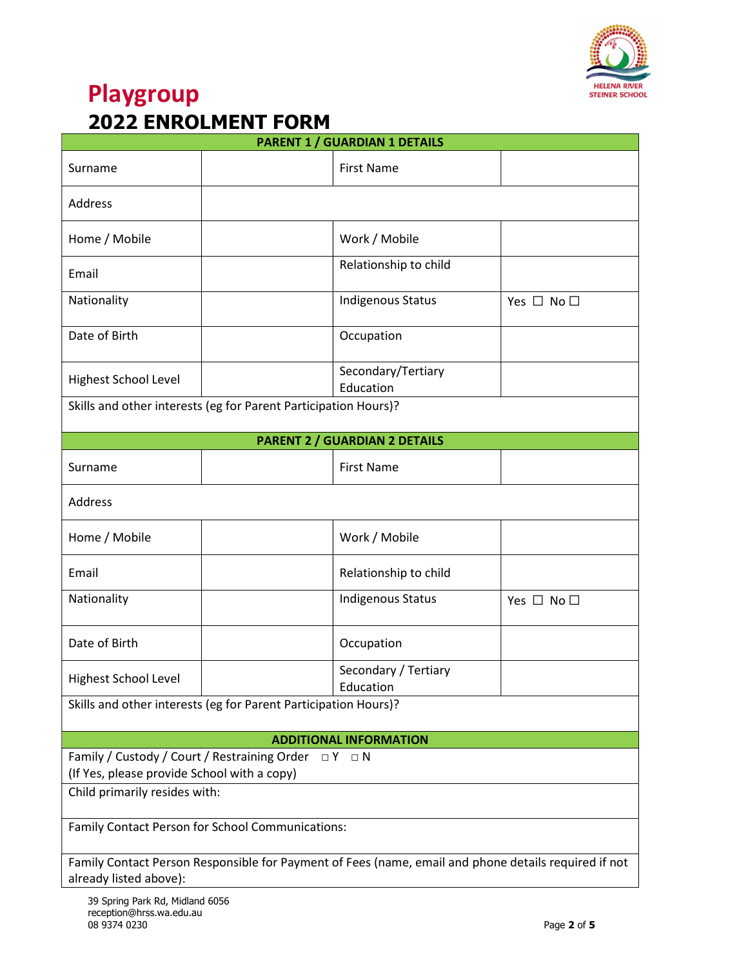

| <b>PARENT 1 / GUARDIAN 1 DETAILS</b>                                                                        |  |                                      |                      |  |  |  |  |
|-------------------------------------------------------------------------------------------------------------|--|--------------------------------------|----------------------|--|--|--|--|
| Surname                                                                                                     |  | <b>First Name</b>                    |                      |  |  |  |  |
| Address                                                                                                     |  |                                      |                      |  |  |  |  |
| Home / Mobile                                                                                               |  | Work / Mobile                        |                      |  |  |  |  |
| Email                                                                                                       |  | Relationship to child                |                      |  |  |  |  |
| Nationality                                                                                                 |  | Indigenous Status                    | Yes $\Box$ No $\Box$ |  |  |  |  |
| Date of Birth                                                                                               |  | Occupation                           |                      |  |  |  |  |
| Highest School Level                                                                                        |  | Secondary/Tertiary<br>Education      |                      |  |  |  |  |
| Skills and other interests (eg for Parent Participation Hours)?                                             |  |                                      |                      |  |  |  |  |
|                                                                                                             |  | <b>PARENT 2 / GUARDIAN 2 DETAILS</b> |                      |  |  |  |  |
| Surname                                                                                                     |  | <b>First Name</b>                    |                      |  |  |  |  |
| Address                                                                                                     |  |                                      |                      |  |  |  |  |
| Home / Mobile                                                                                               |  | Work / Mobile                        |                      |  |  |  |  |
| Email                                                                                                       |  | Relationship to child                |                      |  |  |  |  |
| Nationality                                                                                                 |  | Indigenous Status                    | Yes $\Box$ No $\Box$ |  |  |  |  |
| Date of Birth                                                                                               |  | Occupation                           |                      |  |  |  |  |
| Highest School Level                                                                                        |  | Secondary / Tertiary<br>Education    |                      |  |  |  |  |
| Skills and other interests (eg for Parent Participation Hours)?                                             |  |                                      |                      |  |  |  |  |
| <b>ADDITIONAL INFORMATION</b>                                                                               |  |                                      |                      |  |  |  |  |
| Family / Custody / Court / Restraining Order $\Box Y \Box N$<br>(If Yes, please provide School with a copy) |  |                                      |                      |  |  |  |  |
| Child primarily resides with:                                                                               |  |                                      |                      |  |  |  |  |
| Family Contact Person for School Communications:                                                            |  |                                      |                      |  |  |  |  |
| Family Contact Person Responsible for Payment of Fees (name, email and phone details required if not        |  |                                      |                      |  |  |  |  |
| already listed above):                                                                                      |  |                                      |                      |  |  |  |  |
| 39 Spring Park Rd. Midland 6056                                                                             |  |                                      |                      |  |  |  |  |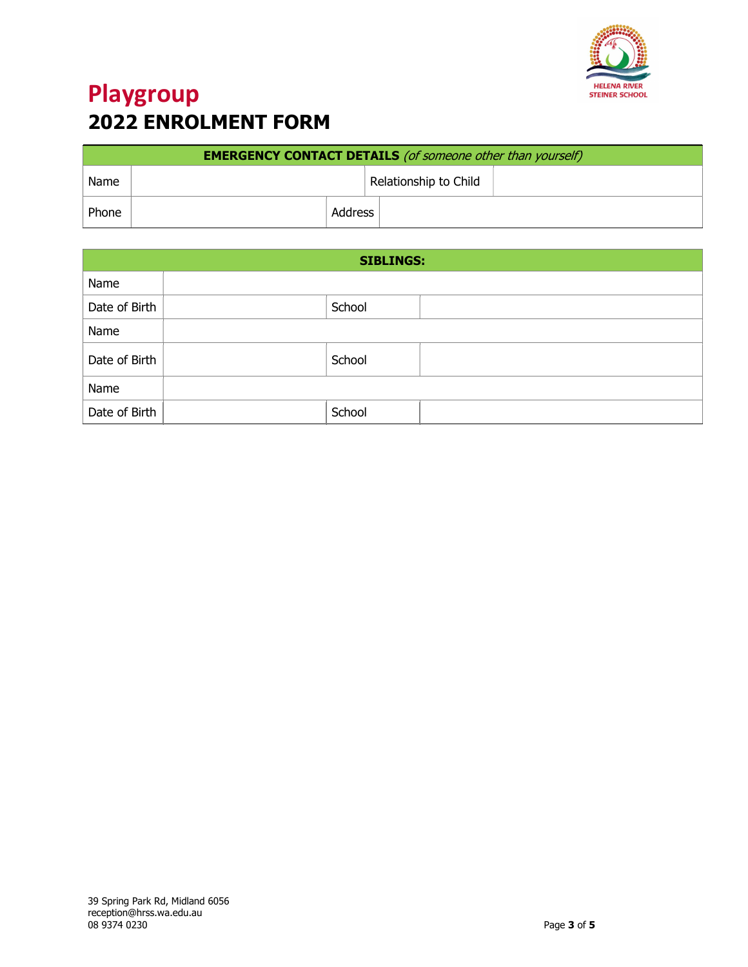

| <b>EMERGENCY CONTACT DETAILS</b> (of someone other than yourself) |         |                       |  |  |  |  |
|-------------------------------------------------------------------|---------|-----------------------|--|--|--|--|
| Name                                                              |         | Relationship to Child |  |  |  |  |
| Phone                                                             | Address |                       |  |  |  |  |

| <b>SIBLINGS:</b> |  |        |  |  |  |  |
|------------------|--|--------|--|--|--|--|
| Name             |  |        |  |  |  |  |
| Date of Birth    |  | School |  |  |  |  |
| Name             |  |        |  |  |  |  |
| Date of Birth    |  | School |  |  |  |  |
| Name             |  |        |  |  |  |  |
| Date of Birth    |  | School |  |  |  |  |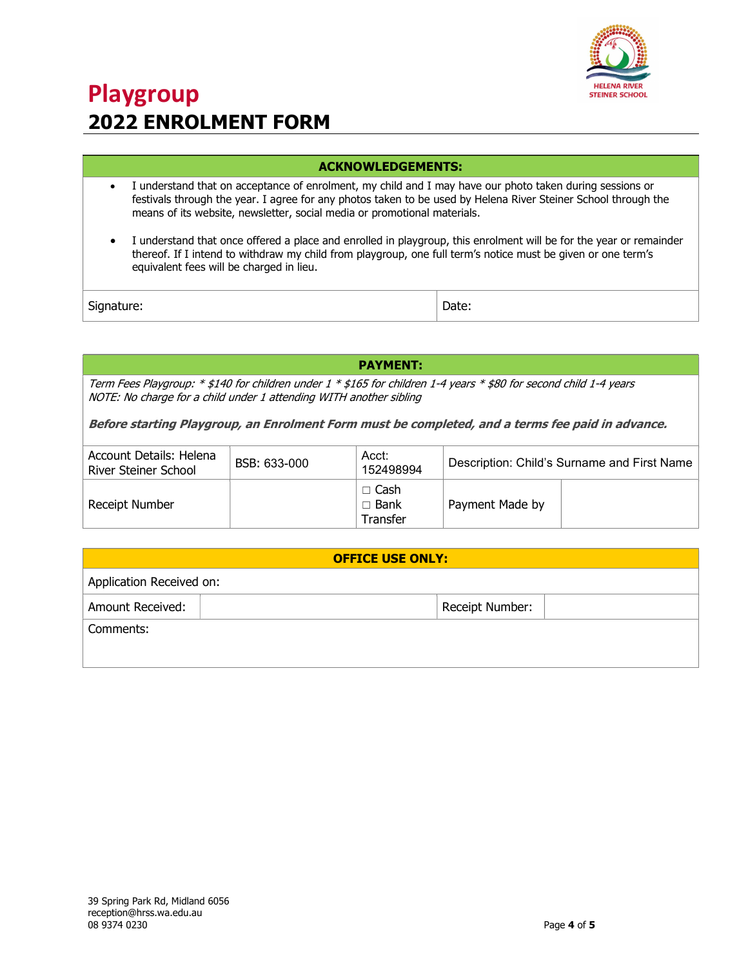

### ACKNOWLEDGEMENTS:

- I understand that on acceptance of enrolment, my child and I may have our photo taken during sessions or festivals through the year. I agree for any photos taken to be used by Helena River Steiner School through the means of its website, newsletter, social media or promotional materials.
- I understand that once offered a place and enrolled in playgroup, this enrolment will be for the year or remainder thereof. If I intend to withdraw my child from playgroup, one full term's notice must be given or one term's equivalent fees will be charged in lieu.

Signature:  $\vert$  Date:

PAYMENT:

Term Fees Playgroup: \* \$140 for children under 1 \* \$165 for children 1-4 years \* \$80 for second child 1-4 years NOTE: No charge for a child under 1 attending WITH another sibling

Before starting Playgroup, an Enrolment Form must be completed, and a terms fee paid in advance.

| Account Details: Helena<br>River Steiner School | BSB: 633-000 | Acct:<br>152498994                     | Description: Child's Surname and First Name |  |
|-------------------------------------------------|--------------|----------------------------------------|---------------------------------------------|--|
| Receipt Number                                  |              | $\Box$ Cash<br>$\Box$ Bank<br>Transfer | Payment Made by                             |  |

| <b>OFFICE USE ONLY:</b>             |  |  |  |  |  |  |  |
|-------------------------------------|--|--|--|--|--|--|--|
| Application Received on:            |  |  |  |  |  |  |  |
| Amount Received:<br>Receipt Number: |  |  |  |  |  |  |  |
| Comments:                           |  |  |  |  |  |  |  |
|                                     |  |  |  |  |  |  |  |